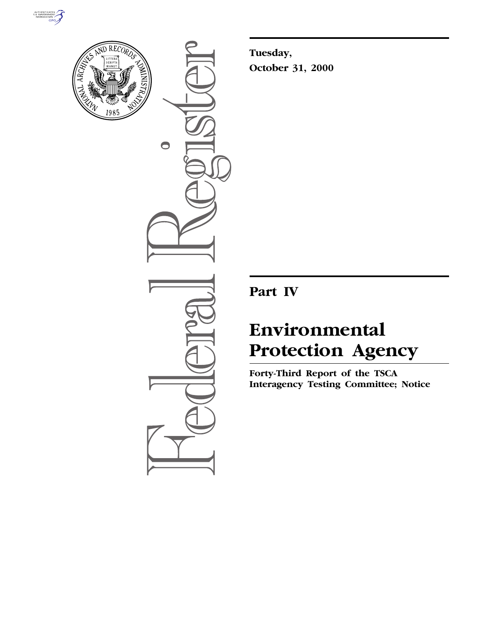



 $\bullet$ 

**Tuesday, October 31, 2000**

**Part IV**

# **Environmental Protection Agency**

**Forty-Third Report of the TSCA Interagency Testing Committee; Notice**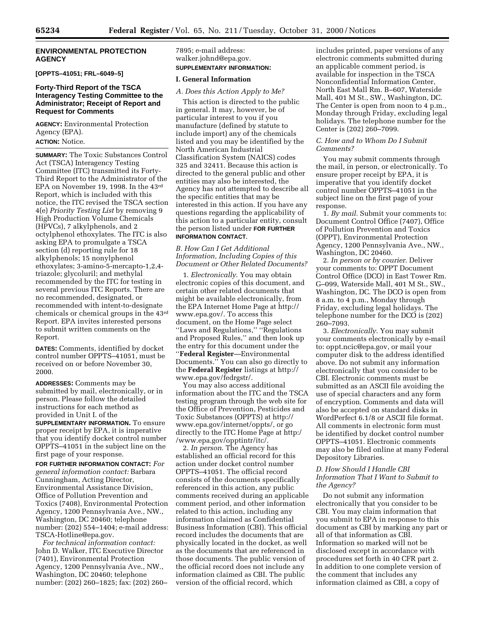#### **ENVIRONMENTAL PROTECTION AGENCY**

**[OPPTS–41051; FRL–6049–5]**

## **Forty-Third Report of the TSCA Interagency Testing Committee to the Administrator; Receipt of Report and Request for Comments**

**AGENCY:** Environmental Protection Agency (EPA). **ACTION:** Notice.

**SUMMARY:** The Toxic Substances Control Act (TSCA) Interagency Testing Committee (ITC) transmitted its Forty-Third Report to the Administrator of the EPA on November 19, 1998. In the 43rd Report, which is included with this notice, the ITC revised the TSCA section 4(e) *Priority Testing List* by removing 9 High Production Volume Chemicals (HPVCs), 7 alkylphenols, and 2 octylphenol ethoxylates. The ITC is also asking EPA to promulgate a TSCA section (d) reporting rule for 18 alkylphenols; 15 nonylphenol ethoxylates; 3-amino-5-mercapto-1,2,4 triazole; glycoluril; and methylal recommended by the ITC for testing in several previous ITC Reports. There are no recommended, designated, or recommended with intent-to-designate chemicals or chemical groups in the 43rd Report. EPA invites interested persons to submit written comments on the Report.

**DATES:** Comments, identified by docket control number OPPTS–41051, must be received on or before November 30, 2000.

**ADDRESSES:** Comments may be submitted by mail, electronically, or in person. Please follow the detailed instructions for each method as provided in Unit I. of the **SUPPLEMENTARY INFORMATION.** To ensure proper receipt by EPA, it is imperative that you identify docket control number OPPTS–41051 in the subject line on the first page of your response.

**FOR FURTHER INFORMATION CONTACT:** *For general information contact:* Barbara Cunningham, Acting Director, Environmental Assistance Division, Office of Pollution Prevention and Toxics (7408), Environmental Protection Agency, 1200 Pennsylvania Ave., NW., Washington, DC 20460; telephone number: (202) 554–1404; e-mail address: TSCA-Hotline@epa.gov.

*For technical information contact:* John D. Walker, ITC Executive Director (7401), Environmental Protection Agency, 1200 Pennsylvania Ave., NW., Washington, DC 20460; telephone number: (202) 260–1825; fax: (202) 260– 7895; e-mail address: walker.johnd@epa.gov. **SUPPLEMENTARY INFORMATION:**

#### **I. General Information**

*A. Does this Action Apply to Me?*

This action is directed to the public in general. It may, however, be of particular interest to you if you manufacture (defined by statute to include import) any of the chemicals listed and you may be identified by the North American Industrial Classification System (NAICS) codes 325 and 32411. Because this action is directed to the general public and other entities may also be interested, the Agency has not attempted to describe all the specific entities that may be interested in this action. If you have any questions regarding the applicability of this action to a particular entity, consult the person listed under **FOR FURTHER INFORMATION CONTACT**.

*B. How Can I Get Additional Information, Including Copies of this Document or Other Related Documents?*

1. *Electronically*. You may obtain electronic copies of this document, and certain other related documents that might be available electronically, from the EPA Internet Home Page at http:// www.epa.gov/. To access this document, on the Home Page select ''Laws and Regulations,'' ''Regulations and Proposed Rules,'' and then look up the entry for this document under the ''**Federal Register**—Environmental Documents.'' You can also go directly to the **Federal Register** listings at http:// www.epa.gov/fedrgstr/.

You may also access additional information about the ITC and the TSCA testing program through the web site for the Office of Prevention, Pesticides and Toxic Substances (OPPTS) at http:// www.epa.gov/internet/oppts/, or go directly to the ITC Home Page at http:/ /www.epa.gov/opptintr/itc/.

2. *In person*. The Agency has established an official record for this action under docket control number OPPTS–41051. The official record consists of the documents specifically referenced in this action, any public comments received during an applicable comment period, and other information related to this action, including any information claimed as Confidential Business Information (CBI). This official record includes the documents that are physically located in the docket, as well as the documents that are referenced in those documents. The public version of the official record does not include any information claimed as CBI. The public version of the official record, which

includes printed, paper versions of any electronic comments submitted during an applicable comment period, is available for inspection in the TSCA Nonconfidential Information Center, North East Mall Rm. B–607, Waterside Mall, 401 M St., SW., Washington, DC. The Center is open from noon to 4 p.m., Monday through Friday, excluding legal holidays. The telephone number for the Center is (202) 260–7099.

## *C. How and to Whom Do I Submit Comments?*

You may submit comments through the mail, in person, or electronically. To ensure proper receipt by EPA, it is imperative that you identify docket control number OPPTS–41051 in the subject line on the first page of your response.

1. *By mail*. Submit your comments to: Document Control Office (7407), Office of Pollution Prevention and Toxics (OPPT), Environmental Protection Agency, 1200 Pennsylvania Ave., NW., Washington, DC 20460.

2. *In person or by courier*. Deliver your comments to: OPPT Document Control Office (DCO) in East Tower Rm. G–099, Waterside Mall, 401 M St., SW., Washington, DC. The DCO is open from 8 a.m. to 4 p.m., Monday through Friday, excluding legal holidays. The telephone number for the DCO is (202) 260–7093.

3. *Electronically*. You may submit your comments electronically by e-mail to: oppt.ncic@epa.gov, or mail your computer disk to the address identified above. Do not submit any information electronically that you consider to be CBI. Electronic comments must be submitted as an ASCII file avoiding the use of special characters and any form of encryption. Comments and data will also be accepted on standard disks in WordPerfect 6.1/8 or ASCII file format. All comments in electronic form must be identified by docket control number OPPTS–41051. Electronic comments may also be filed online at many Federal Depository Libraries.

## *D. How Should I Handle CBI Information That I Want to Submit to the Agency?*

Do not submit any information electronically that you consider to be CBI. You may claim information that you submit to EPA in response to this document as CBI by marking any part or all of that information as CBI. Information so marked will not be disclosed except in accordance with procedures set forth in 40 CFR part 2. In addition to one complete version of the comment that includes any information claimed as CBI, a copy of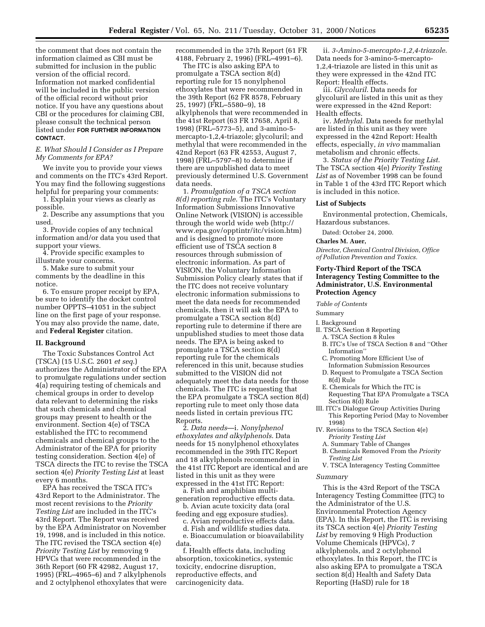the comment that does not contain the information claimed as CBI must be submitted for inclusion in the public version of the official record. Information not marked confidential will be included in the public version of the official record without prior notice. If you have any questions about CBI or the procedures for claiming CBI, please consult the technical person listed under **FOR FURTHER INFORMATION CONTACT**.

#### *E. What Should I Consider as I Prepare My Comments for EPA?*

We invite you to provide your views and comments on the ITC's 43rd Report. You may find the following suggestions helpful for preparing your comments:

1. Explain your views as clearly as possible.

2. Describe any assumptions that you used.

3. Provide copies of any technical information and/or data you used that support your views.

4. Provide specific examples to illustrate your concerns.

5. Make sure to submit your comments by the deadline in this notice.

6. To ensure proper receipt by EPA, be sure to identify the docket control number OPPTS–41051 in the subject line on the first page of your response. You may also provide the name, date, and **Federal Register** citation.

## **II. Background**

The Toxic Substances Control Act (TSCA) (15 U.S.C. 2601 *et seq*.) authorizes the Administrator of the EPA to promulgate regulations under section 4(a) requiring testing of chemicals and chemical groups in order to develop data relevant to determining the risks that such chemicals and chemical groups may present to health or the environment. Section 4(e) of TSCA established the ITC to recommend chemicals and chemical groups to the Administrator of the EPA for priority testing consideration. Section 4(e) of TSCA directs the ITC to revise the TSCA section 4(e) *Priority Testing List* at least every 6 months.

EPA has received the TSCA ITC's 43rd Report to the Administrator. The most recent revisions to the *Priority Testing List* are included in the ITC's 43rd Report. The Report was received by the EPA Administrator on November 19, 1998, and is included in this notice. The ITC revised the TSCA section 4(e) *Priority Testing List* by removing 9 HPVCs that were recommended in the 36th Report (60 FR 42982, August 17, 1995) (FRL–4965–6) and 7 alkylphenols and 2 octylphenol ethoxylates that were recommended in the 37th Report (61 FR 4188, February 2, 1996) (FRL–4991–6).

The ITC is also asking EPA to promulgate a TSCA section 8(d) reporting rule for 15 nonylphenol ethoxylates that were recommended in the 39th Report (62 FR 8578, February 25, 1997) (FRL–5580–9), 18 alkylphenols that were recommended in the 41st Report (63 FR 17658, April 8, 1998) (FRL–5773–5), and 3-amino-5 mercapto-1,2,4-triazole; glycoluril; and methylal that were recommended in the 42nd Report (63 FR 42553, August 7, 1998) (FRL–5797–8) to determine if there are unpublished data to meet previously determined U.S. Government data needs.

1. *Promulgation of a TSCA section 8(d) reporting rule*. The ITC's Voluntary Information Submissions Innovative Online Network (VISION) is accessible through the world wide web (http:// www.epa.gov/opptintr/itc/vision.htm) and is designed to promote more efficient use of TSCA section 8 resources through submission of electronic information. As part of VISION, the Voluntary Information Submission Policy clearly states that if the ITC does not receive voluntary electronic information submissions to meet the data needs for recommended chemicals, then it will ask the EPA to promulgate a TSCA section 8(d) reporting rule to determine if there are unpublished studies to meet those data needs. The EPA is being asked to promulgate a TSCA section 8(d) reporting rule for the chemicals referenced in this unit, because studies submitted to the VISION did not adequately meet the data needs for those chemicals. The ITC is requesting that the EPA promulgate a TSCA section 8(d) reporting rule to meet only those data needs listed in certain previous ITC Reports.

2. *Data needs*—i. *Nonylphenol ethoxylates and alkylphenols*. Data needs for 15 nonylphenol ethoxylates recommended in the 39th ITC Report and 18 alkylphenols recommended in the 41st ITC Report are identical and are listed in this unit as they were expressed in the 41st ITC Report:

a. Fish and amphibian multigeneration reproductive effects data.

b. Avian acute toxicity data (oral feeding and egg exposure studies).

c. Avian reproductive effects data.

d. Fish and wildlife studies data. e. Bioaccumulation or bioavailability data.

f. Health effects data, including absorption, toxicokinetics, systemic toxicity, endocrine disruption, reproductive effects, and carcinogenicity data.

ii. *3-Amino-5-mercapto-1,2,4-triazole*. Data needs for 3-amino-5-mercapto-1,2,4-triazole are listed in this unit as they were expressed in the 42nd ITC Report: Health effects.

iii. *Glycoluril*. Data needs for glycoluril are listed in this unit as they were expressed in the 42nd Report: Health effects.

iv. *Methylal*. Data needs for methylal are listed in this unit as they were expressed in the 42nd Report: Health effects, especially, *in vivo* mammalian metabolism and chronic effects.

3. *Status of the Priority Testing List*. The TSCA section 4(e) *Priority Testing List* as of November 1998 can be found in Table 1 of the 43rd ITC Report which is included in this notice.

#### **List of Subjects**

Environmental protection, Chemicals, Hazardous substances.

Dated: October 24, 2000.

## **Charles M. Auer,**

*Director, Chemical Control Division, Office of Pollution Prevention and Toxics.*

## **Forty-Third Report of the TSCA Interagency Testing Committee to the Administrator, U.S. Environmental Protection Agency**

*Table of Contents*

Summary

I. Background

- II. TSCA Section 8 Reporting
	- A. TSCA Section 8 Rules
	- B. ITC's Use of TSCA Section 8 and ''Other Information''
	- C. Promoting More Efficient Use of
	- Information Submission Resources D. Request to Promulgate a TSCA Section
- 8(d) Rule
- E. Chemicals for Which the ITC is Requesting That EPA Promulgate a TSCA Section 8(d) Rule
- III. ITC's Dialogue Group Activities During This Reporting Period (May to November 1998)
- IV. Revisions to the TSCA Section 4(e) *Priority Testing List*
	- A. Summary Table of Changes
	- B. Chemicals Removed From the *Priority*
	- *Testing List* V. TSCA Interagency Testing Committee

#### *Summary*

This is the 43rd Report of the TSCA Interagency Testing Committee (ITC) to the Administrator of the U.S. Environmental Protection Agency (EPA). In this Report, the ITC is revising its TSCA section 4(e) *Priority Testing List* by removing 9 High Production Volume Chemicals (HPVCs), 7 alkylphenols, and 2 octylphenol ethoxylates. In this Report, the ITC is also asking EPA to promulgate a TSCA section 8(d) Health and Safety Data Reporting (HaSD) rule for 18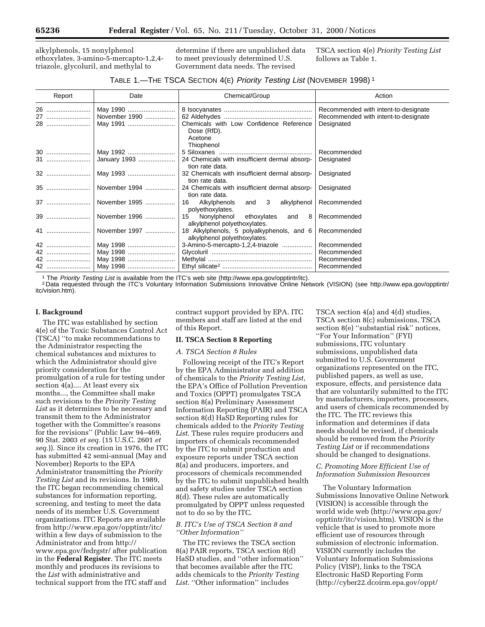alkylphenols, 15 nonylphenol ethoxylates, 3-amino-5-mercapto-1,2,4 triazole, glycoluril, and methylal to

determine if there are unpublished data to meet previously determined U.S. Government data needs. The revised

TSCA section 4(e) *Priority Testing List* follows as Table 1.

## TABLE 1.—THE TSCA SECTION 4(E) Priority Testing List (NOVEMBER 1998) <sup>1</sup>

| Report         | Date                      | Chemical/Group                                                               | Action                                                                                     |
|----------------|---------------------------|------------------------------------------------------------------------------|--------------------------------------------------------------------------------------------|
| 26<br>27<br>28 | November 1990<br>May 1991 | Chemicals with Low Confidence Reference<br>Dose (RfD).                       | Recommended with intent-to-designate<br>Recommended with intent-to-designate<br>Designated |
| <b>30</b>      | May 1992                  | Acetone<br>Thiophenol                                                        | Recommended<br>Designated                                                                  |
|                |                           | tion rate data.<br>tion rate data.                                           | Designated                                                                                 |
| 35             | November 1994             | 24 Chemicals with insufficient dermal absorp-<br>tion rate data.             | Designated                                                                                 |
|                |                           | Alkylphenols<br>and 3<br>alkylphenol<br>16<br>polyethoxylates.               | Recommended                                                                                |
|                | November 1996             | Nonylphenol<br>ethoxylates<br>15<br>and<br>8<br>alkylphenol polyethoxylates. | Recommended                                                                                |
|                | 41    November 1997       | 18 Alkylphenols, 5 polyalkyphenols, and 6<br>alkylphenol polyethoxylates.    | Recommended                                                                                |
| 42<br>42<br>42 |                           | 3-Amino-5-mercapto-1,2,4-triazole                                            | Recommended<br>Recommended<br>Recommended<br>Recommended                                   |

<sup>1</sup> The Priority Testing List is available from the ITC's web site (http://www.epa.gov/opptintr/itc).<br><sup>2</sup> Data requested through the ITC's Voluntary Information Submissions Innovative Online Network (VISION) (see http://ww itc/vision.htm).

## **I. Background**

The ITC was established by section 4(e) of the Toxic Substances Control Act (TSCA) ''to make recommendations to the Administrator respecting the chemical substances and mixtures to which the Administrator should give priority consideration for the promulgation of a rule for testing under section 4(a).... At least every six months..., the Committee shall make such revisions to the *Priority Testing List* as it determines to be necessary and transmit them to the Administrator together with the Committee's reasons for the revisions'' (Public Law 94–469, 90 Stat. 2003 *et seq.* (15 U.S.C. 2601 *et seq.*)). Since its creation in 1976, the ITC has submitted 42 semi-annual (May and November) Reports to the EPA Administrator transmitting the *Priority Testing List* and its revisions. In 1989, the ITC began recommending chemical substances for information reporting, screening, and testing to meet the data needs of its member U.S. Government organizations. ITC Reports are available from http://www.epa.gov/opptintr/itc/ within a few days of submission to the Administrator and from http:// www.epa.gov/fedrgstr/ after publication in the **Federal Register**. The ITC meets monthly and produces its revisions to the *List* with administrative and technical support from the ITC staff and

contract support provided by EPA. ITC members and staff are listed at the end of this Report.

## **II. TSCA Section 8 Reporting**

#### *A. TSCA Section 8 Rules*

Following receipt of the ITC's Report by the EPA Administrator and addition of chemicals to the *Priority Testing List*, the EPA's Office of Pollution Prevention and Toxics (OPPT) promulgates TSCA section 8(a) Preliminary Assessment Information Reporting (PAIR) and TSCA section 8(d) HaSD Reporting rules for chemicals added to the *Priority Testing List*. These rules require producers and importers of chemicals recommended by the ITC to submit production and exposure reports under TSCA section 8(a) and producers, importers, and processors of chemicals recommended by the ITC to submit unpublished health and safety studies under TSCA section 8(d). These rules are automatically promulgated by OPPT unless requested not to do so by the ITC.

## *B. ITC's Use of TSCA Section 8 and ''Other Information''*

The ITC reviews the TSCA section 8(a) PAIR reports, TSCA section 8(d) HaSD studies, and ''other information'' that becomes available after the ITC adds chemicals to the *Priority Testing List*. ''Other information'' includes

TSCA section 4(a) and 4(d) studies, TSCA section 8(c) submissions, TSCA section 8(e) ''substantial risk'' notices, ''For Your Information'' (FYI) submissions, ITC voluntary submissions, unpublished data submitted to U.S. Government organizations represented on the ITC, published papers, as well as use, exposure, effects, and persistence data that are voluntarily submitted to the ITC by manufacturers, importers, processors, and users of chemicals recommended by the ITC. The ITC reviews this information and determines if data needs should be revised, if chemicals should be removed from the *Priority Testing List* or if recommendations should be changed to designations.

## *C. Promoting More Efficient Use of Information Submission Resources*

The Voluntary Information Submissions Innovative Online Network (VISION) is accessible through the world wide web (http://www.epa.gov/ opptintr/itc/vision.htm). VISION is the vehicle that is used to promote more efficient use of resources through submission of electronic information. VISION currently includes the Voluntary Information Submissions Policy (VISP), links to the TSCA Electronic HaSD Reporting Form (http://cyber22.dcoirm.epa.gov/oppt/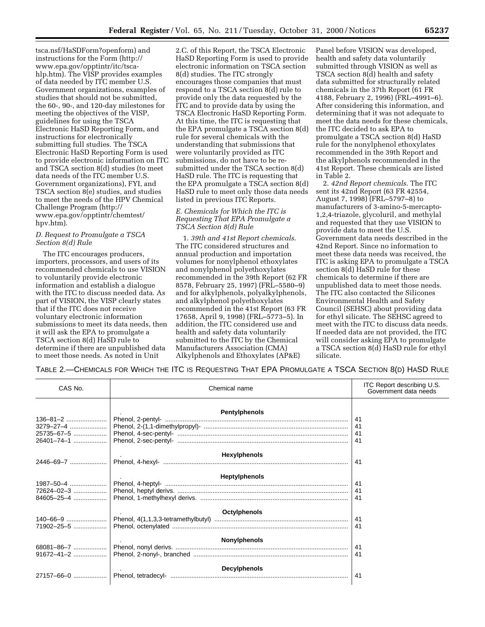tsca.nsf/HaSDForm?openform) and instructions for the Form (http:// www.epa.gov/opptintr/itc/tscahlp.htm). The VISP provides examples of data needed by ITC member U.S. Government organizations, examples of studies that should not be submitted, the 60-, 90-, and 120-day milestones for meeting the objectives of the VISP, guidelines for using the TSCA Electronic HaSD Reporting Form, and instructions for electronically submitting full studies. The TSCA Electronic HaSD Reporting Form is used to provide electronic information on ITC and TSCA section 8(d) studies (to meet data needs of the ITC member U.S. Government organizations), FYI, and TSCA section 8(e) studies, and studies to meet the needs of the HPV Chemical Challenge Program (http:// www.epa.gov/opptintr/chemtest/ hpv.htm).

## *D. Request to Promulgate a TSCA Section 8(d) Rule*

The ITC encourages producers, importers, processors, and users of its recommended chemicals to use VISION to voluntarily provide electronic information and establish a dialogue with the ITC to discuss needed data. As part of VISION, the VISP clearly states that if the ITC does not receive voluntary electronic information submissions to meet its data needs, then it will ask the EPA to promulgate a TSCA section 8(d) HaSD rule to determine if there are unpublished data to meet those needs. As noted in Unit

2.C. of this Report, the TSCA Electronic HaSD Reporting Form is used to provide electronic information on TSCA section 8(d) studies. The ITC strongly encourages those companies that must respond to a TSCA section 8(d) rule to provide only the data requested by the ITC and to provide data by using the TSCA Electronic HaSD Reporting Form. At this time, the ITC is requesting that the EPA promulgate a TSCA section 8(d) rule for several chemicals with the understanding that submissions that were voluntarily provided as ITC submissions, do not have to be resubmitted under the TSCA section 8(d) HaSD rule. The ITC is requesting that the EPA promulgate a TSCA section 8(d) HaSD rule to meet only those data needs listed in previous ITC Reports.

## *E. Chemicals for Which the ITC is Requesting That EPA Promulgate a TSCA Section 8(d) Rule*

1. *39th and 41st Report chemicals*. The ITC considered structures and annual production and importation volumes for nonylphenol ethoxylates and nonylphenol polyethoxylates recommended in the 39th Report (62 FR 8578, February 25, 1997) (FRL–5580–9) and for alkylphenols, polyalkylphenols, and alkylphenol polyethoxylates recommended in the 41st Report (63 FR 17658, April 9, 1998) (FRL–5773–5). In addition, the ITC considered use and health and safety data voluntarily submitted to the ITC by the Chemical Manufacturers Association (CMA) Alkylphenols and Ethoxylates (AP&E)

Panel before VISION was developed, health and safety data voluntarily submitted through VISION as well as TSCA section 8(d) health and safety data submitted for structurally related chemicals in the 37th Report (61 FR 4188, February 2, 1996) (FRL–4991–6). After considering this information, and determining that it was not adequate to meet the data needs for these chemicals, the ITC decided to ask EPA to promulgate a TSCA section 8(d) HaSD rule for the nonylphenol ethoxylates recommended in the 39th Report and the alkylphenols recommended in the 41st Report. These chemicals are listed in Table 2.

2. *42nd Report chemicals*. The ITC sent its 42nd Report (63 FR 42554, August 7, 1998) (FRL–5797–8) to manufacturers of 3-amino-5-mercapto-1,2,4-triazole, glycoluril, and methylal and requested that they use VISION to provide data to meet the U.S. Government data needs described in the 42nd Report. Since no information to meet these data needs was received, the ITC is asking EPA to promulgate a TSCA section 8(d) HaSD rule for these chemicals to determine if there are unpublished data to meet those needs. The ITC also contacted the Silicones Environmental Health and Safety Council (SEHSC) about providing data for ethyl silicate. The SEHSC agreed to meet with the ITC to discuss data needs. If needed data are not provided, the ITC will consider asking EPA to promulgate a TSCA section 8(d) HaSD rule for ethyl silicate.

TABLE 2.—CHEMICALS FOR WHICH THE ITC IS REQUESTING THAT EPA PROMULGATE A TSCA SECTION 8(D) HASD RULE

| CAS No.          | Chemical name        | ITC Report describing U.S.<br>Government data needs |
|------------------|----------------------|-----------------------------------------------------|
|                  | Pentylphenols        |                                                     |
|                  |                      | -41                                                 |
|                  |                      | 41<br>41                                            |
|                  |                      | 41                                                  |
|                  |                      |                                                     |
|                  | <b>Hexylphenols</b>  |                                                     |
| 2446-69-7        |                      | 41                                                  |
|                  | <b>Heptylphenols</b> |                                                     |
|                  |                      | 41                                                  |
|                  |                      | 41                                                  |
|                  |                      | 41                                                  |
|                  | Octylphenols         |                                                     |
|                  |                      | 41                                                  |
| $71902 - 25 - 5$ |                      | 41                                                  |
|                  | <b>Nonylphenols</b>  |                                                     |
| 68081-86-7       |                      | 41                                                  |
| 91672-41-2       |                      | 41                                                  |
|                  |                      |                                                     |
| 27157-66-0       | <b>Decylphenols</b>  | 41                                                  |
|                  |                      |                                                     |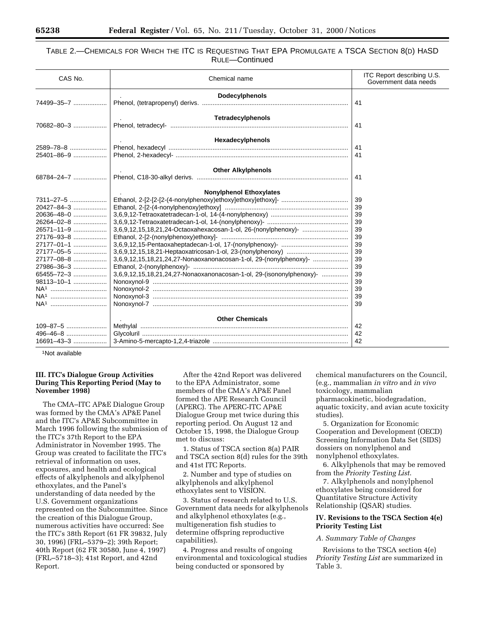# TABLE 2.—CHEMICALS FOR WHICH THE ITC IS REQUESTING THAT EPA PROMULGATE A TSCA SECTION 8(D) HASD RULE—Continued

| CAS No.                | Chemical name                                                        | ITC Report describing U.S.<br>Government data needs |  |  |
|------------------------|----------------------------------------------------------------------|-----------------------------------------------------|--|--|
|                        | <b>Dodecylphenols</b>                                                | 41                                                  |  |  |
|                        |                                                                      |                                                     |  |  |
|                        | Tetradecylphenols                                                    |                                                     |  |  |
|                        |                                                                      | 41                                                  |  |  |
|                        | Hexadecylphenols                                                     |                                                     |  |  |
|                        |                                                                      | 41                                                  |  |  |
|                        |                                                                      | 41                                                  |  |  |
|                        | <b>Other Alkylphenols</b>                                            |                                                     |  |  |
|                        |                                                                      | 41                                                  |  |  |
|                        | <b>Nonylphenol Ethoxylates</b>                                       |                                                     |  |  |
| 7311-27-5              |                                                                      | 39                                                  |  |  |
| 20427-84-3             |                                                                      | 39                                                  |  |  |
| 20636-48-0             |                                                                      | 39                                                  |  |  |
| 26264-02-8             |                                                                      | 39                                                  |  |  |
| 26571-11-9             | 3,6,9,12,15,18,21,24-Octaoxahexacosan-1-ol, 26-(nonylphenoxy)-       | 39                                                  |  |  |
| 27176-93-8             |                                                                      | 39                                                  |  |  |
| 27177-01-1             |                                                                      | 39                                                  |  |  |
| 27177-05-5             |                                                                      | 39                                                  |  |  |
| 27177-08-8             | 3,6,9,12,15,18,21,24,27-Nonaoxanonacosan-1-ol, 29-(nonylphenoxy)-    | 39                                                  |  |  |
| 27986-36-3             |                                                                      | 39                                                  |  |  |
| 65455-72-3             | 3,6,9,12,15,18,21,24,27-Nonaoxanonacosan-1-ol, 29-(isononylphenoxy)- | 39                                                  |  |  |
| 98113-10-1             |                                                                      | 39                                                  |  |  |
| NA <sup>1</sup>        |                                                                      | 39                                                  |  |  |
| NA <sup>1</sup>        |                                                                      | 39                                                  |  |  |
| NA <sup>1</sup>        |                                                                      | 39                                                  |  |  |
| <b>Other Chemicals</b> |                                                                      |                                                     |  |  |
|                        |                                                                      | 42                                                  |  |  |
|                        |                                                                      | 42                                                  |  |  |
| 16691-43-3             |                                                                      | 42                                                  |  |  |

1Not available

## **III. ITC's Dialogue Group Activities During This Reporting Period (May to November 1998)**

The CMA–ITC AP&E Dialogue Group was formed by the CMA's AP&E Panel and the ITC's AP&E Subcommittee in March 1996 following the submission of the ITC's 37th Report to the EPA Administrator in November 1995. The Group was created to facilitate the ITC's retrieval of information on uses, exposures, and health and ecological effects of alkylphenols and alkylphenol ethoxylates, and the Panel's understanding of data needed by the U.S. Government organizations represented on the Subcommittee. Since the creation of this Dialogue Group, numerous activities have occurred: See the ITC's 38th Report (61 FR 39832, July 30, 1996) (FRL–5379–2); 39th Report; 40th Report (62 FR 30580, June 4, 1997) (FRL–5718–3); 41st Report, and 42nd Report.

After the 42nd Report was delivered to the EPA Administrator, some members of the CMA's AP&E Panel formed the APE Research Council (APERC). The APERC-ITC AP&E Dialogue Group met twice during this reporting period. On August 12 and October 15, 1998, the Dialogue Group met to discuss:

1. Status of TSCA section 8(a) PAIR and TSCA section 8(d) rules for the 39th and 41st ITC Reports.

2. Number and type of studies on alkylphenols and alkylphenol ethoxylates sent to VISION.

3. Status of research related to U.S. Government data needs for alkylphenols and alkylphenol ethoxylates (e.g., multigeneration fish studies to determine offspring reproductive capabilities).

4. Progress and results of ongoing environmental and toxicological studies being conducted or sponsored by

chemical manufacturers on the Council, (e.g., mammalian *in vitro* and *in vivo* toxicology, mammalian pharmacokinetic, biodegradation, aquatic toxicity, and avian acute toxicity studies).

5. Organization for Economic Cooperation and Development (OECD) Screening Information Data Set (SIDS) dossiers on nonylphenol and nonylphenol ethoxylates.

6. Alkylphenols that may be removed from the *Priority Testing List*.

7. Alkylphenols and nonylphenol ethoxylates being considered for Quantitative Structure Activity Relationship (QSAR) studies.

# **IV. Revisions to the TSCA Section 4(e) Priority Testing List**

## *A. Summary Table of Changes*

Revisions to the TSCA section 4(e) *Priority Testing List* are summarized in Table 3.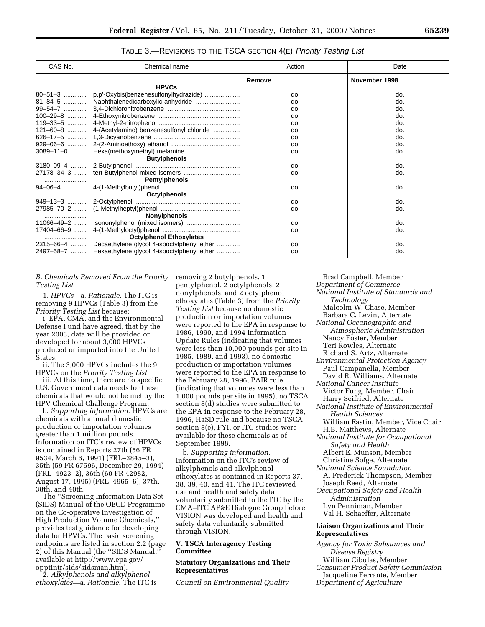| CAS No.          | Chemical name                                        | Action | Date          |
|------------------|------------------------------------------------------|--------|---------------|
|                  |                                                      | Remove | November 1998 |
|                  | <b>HPVCs</b>                                         |        |               |
| $80 - 51 - 3$    | p,p'-Oxybis(benzenesulfonylhydrazide)                | do.    | do.           |
| $81 - 84 - 5$    | Naphthalenedicarboxylic anhydride                    | do.    | do.           |
|                  |                                                      | do.    | do.           |
|                  |                                                      | do.    | do.           |
| $119 - 33 - 5$   |                                                      | do.    | do.           |
|                  | 121–60–8    4-(Acetylamino) benzenesulfonyl chloride | do.    | do.           |
|                  |                                                      | do.    | do.           |
|                  |                                                      | do.    | do.           |
|                  | 3089-11-0    Hexa(methoxymethyl) melamine            | do.    | do.           |
|                  | <b>Butylphenols</b>                                  |        |               |
| $3180 - 09 - 4$  |                                                      | do.    | do.           |
| $27178 - 34 - 3$ |                                                      | do.    | do.           |
|                  | Pentylphenols                                        |        |               |
|                  |                                                      | do.    | do.           |
|                  | Octylphenols                                         |        |               |
| $949 - 13 - 3$   |                                                      | do.    | do.           |
|                  |                                                      | do.    | do.           |
|                  | <b>Nonylphenols</b>                                  |        |               |
|                  | 11066-49-2    Isononylphenol (mixed isomers)         | do.    | do.           |
|                  |                                                      | do.    | do.           |
|                  | <b>Octylphenol Ethoxylates</b>                       |        |               |
| $2315 - 66 - 4$  | Decaethylene glycol 4-isooctylphenyl ether           | do.    | do.           |
| 2497-58-7        | Hexaethylene glycol 4-isooctylphenyl ether           | do.    | do.           |

TABLE 3.—REVISIONS TO THE TSCA SECTION 4(E) Priority Testing List

*B. Chemicals Removed From the Priority* removing 2 butylphenols, 1 *Testing List*

1. *HPVCs*—a. *Rationale*. The ITC is removing 9 HPVCs (Table 3) from the *Priority Testing List* because:

i. EPA, CMA, and the Environmental Defense Fund have agreed, that by the year 2003, data will be provided or developed for about 3,000 HPVCs produced or imported into the United States.

ii. The 3,000 HPVCs includes the 9 HPVCs on the *Priority Testing List*.

iii. At this time, there are no specific U.S. Government data needs for these chemicals that would not be met by the HPV Chemical Challenge Program.

b. *Supporting information*. HPVCs are chemicals with annual domestic production or importation volumes greater than 1 million pounds. Information on ITC's review of HPVCs is contained in Reports 27th (56 FR 9534, March 6, 1991) (FRL–3845–3), 35th (59 FR 67596, December 29, 1994) (FRL–4923–2), 36th (60 FR 42982, August 17, 1995) (FRL–4965–6), 37th, 38th, and 40th.

The ''Screening Information Data Set (SIDS) Manual of the OECD Programme on the Co-operative Investigation of High Production Volume Chemicals,'' provides test guidance for developing data for HPVCs. The basic screening endpoints are listed in section 2.2 (page 2) of this Manual (the ''SIDS Manual;'' available at http://www.epa.gov/ opptintr/sids/sidsman.htm).

2. *Alkylphenols and alkylphenol ethoxylates—*a. *Rationale*. The ITC is

pentylphenol, 2 octylphenols, 2 nonylphenols, and 2 octylphenol ethoxylates (Table 3) from the *Priority Testing List* because no domestic production or importation volumes were reported to the EPA in response to 1986, 1990, and 1994 Information Update Rules (indicating that volumes were less than 10,000 pounds per site in 1985, 1989, and 1993), no domestic production or importation volumes were reported to the EPA in response to the February 28, 1996, PAIR rule (indicating that volumes were less than 1,000 pounds per site in 1995), no TSCA section 8(d) studies were submitted to the EPA in response to the February 28, 1996, HaSD rule and because no TSCA section 8(e), FYI, or ITC studies were available for these chemicals as of September 1998.

b. *Supporting information*. Information on the ITC's review of alkylphenols and alkylphenol ethoxylates is contained in Reports 37, 38, 39, 40, and 41. The ITC reviewed use and health and safety data voluntarily submitted to the ITC by the CMA–ITC AP&E Dialogue Group before VISION was developed and health and safety data voluntarily submitted through VISION.

## **V. TSCA Interagency Testing Committee**

# **Statutory Organizations and Their Representatives**

*Council on Environmental Quality*

Brad Campbell, Member *Department of Commerce National Institute of Standards and Technology* Malcolm W. Chase, Member Barbara C. Levin, Alternate *National Oceanographic and Atmospheric Administration* Nancy Foster, Member Teri Rowles, Alternate Richard S. Artz, Alternate *Environmental Protection Agency* Paul Campanella, Member David R. Williams, Alternate *National Cancer Institute* Victor Fung, Member, Chair Harry Seifried, Alternate *National Institute of Environmental Health Sciences* William Eastin, Member, Vice Chair H.B. Matthews, Alternate *National Institute for Occupational Safety and Health* Albert E. Munson, Member Christine Sofge, Alternate *National Science Foundation* A. Frederick Thompson, Member Joseph Reed, Alternate *Occupational Safety and Health Administration* Lyn Penniman, Member Val H. Schaeffer, Alternate **Liaison Organizations and Their Representatives**

*Agency for Toxic Substances and Disease Registry* William Cibulas, Member *Consumer Product Safety Commission* Jacqueline Ferrante, Member *Department of Agriculture*